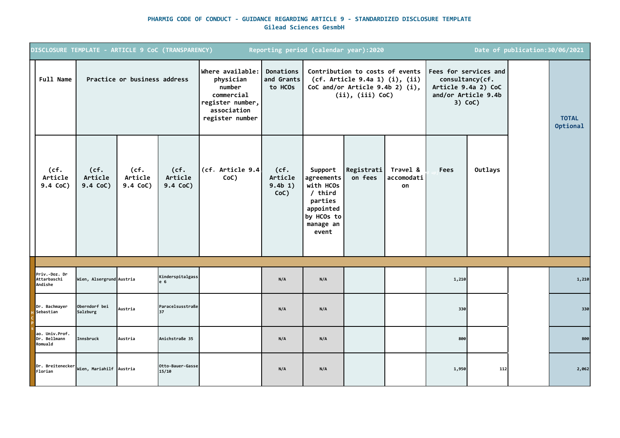## **PHARMIG CODE OF CONDUCT - GUIDANCE REGARDING ARTICLE 9 - STANDARDIZED DISCLOSURE TEMPLATE Gilead Sciences GesmbH**

|                                           |                                  |                              | DISCLOSURE TEMPLATE - ARTICLE 9 CoC (TRANSPARENCY) |                                                                                                             |                                    | Reporting period (calendar year):2020                                                                       |                                                                                                                            |                              |                 |                                                                                  | Date of publication: 30/06/2021 |                          |
|-------------------------------------------|----------------------------------|------------------------------|----------------------------------------------------|-------------------------------------------------------------------------------------------------------------|------------------------------------|-------------------------------------------------------------------------------------------------------------|----------------------------------------------------------------------------------------------------------------------------|------------------------------|-----------------|----------------------------------------------------------------------------------|---------------------------------|--------------------------|
| <b>Full Name</b>                          |                                  | Practice or business address |                                                    | Where available:<br>physician<br>number<br>commercial<br>register number,<br>association<br>register number | Donations<br>and Grants<br>to HCOs |                                                                                                             | Contribution to costs of events<br>(cf. Article 9.4a 1) (i), (ii)<br>CoC and/or Article $9.4b$ 2) (i),<br>(ii), (iii) CoC) |                              | consultancy(cf. | Fees for services and<br>Article 9.4a 2) CoC<br>and/or Article 9.4b<br>$3)$ CoC) |                                 | <b>TOTAL</b><br>Optional |
| (cf.<br>Article<br>9.4 CoC)               | (cf.<br>Article<br>9.4 CoC)      | (cf.<br>Article<br>9.4 CoC)  | (cf.<br>Article<br>9.4 CoC)                        | (cf. Article 9.4<br>CoC)                                                                                    | (cf.<br>Article<br>9.4b 1)<br>CoC) | Support<br>agreements<br>with HCOs<br>$/$ third<br>parties<br>appointed<br>by HCOs to<br>manage an<br>event | Registrati<br>on fees                                                                                                      | Travel &<br>accomodati<br>on | Fees            | Outlays                                                                          |                                 |                          |
|                                           |                                  |                              |                                                    |                                                                                                             |                                    |                                                                                                             |                                                                                                                            |                              |                 |                                                                                  |                                 |                          |
| Priv.-Doz. Dr<br>Attarbaschi<br>Andishe   | Wien, Alsergrund Austria         |                              | Kinderspitalgass<br>e 6                            |                                                                                                             | N/A                                | N/A                                                                                                         |                                                                                                                            |                              | 1,210           |                                                                                  |                                 | 1,210                    |
| Dr. Bachmayer<br>Sebastian                | <b>Oberndorf</b> bei<br>Salzburg | Austria                      | Paracelsusstraße                                   |                                                                                                             | N/A                                | N/A                                                                                                         |                                                                                                                            |                              | 330             |                                                                                  |                                 | 330                      |
| ao. Univ.Prof.<br>Dr. Bellmann<br>Romuald | Innsbruck                        | Austria                      | Anichstraße 35                                     |                                                                                                             | N/A                                | N/A                                                                                                         |                                                                                                                            |                              | 800             |                                                                                  |                                 | 800                      |
| Dr. Breitenecker<br>Florian               | Wien, Mariahilf Austria          |                              | Otto-Bauer-Gasse<br>15/10                          |                                                                                                             | N/A                                | N/A                                                                                                         |                                                                                                                            |                              | 1,950           | 112                                                                              |                                 | 2,062                    |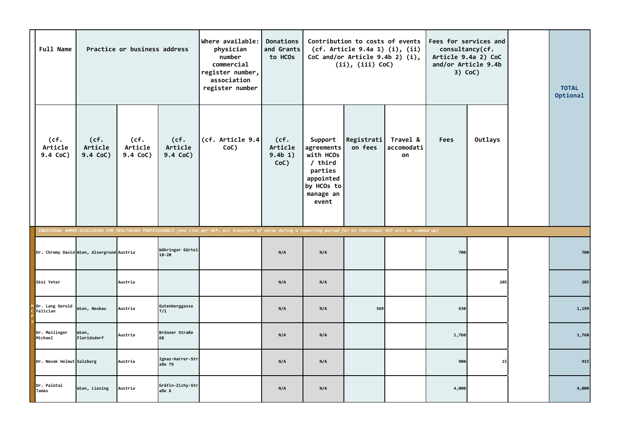| <b>Full Name</b>            |                                           | Practice or business address |                               | Where available:<br>physician<br>number<br>commercial<br>register number,<br>association<br>register number                                                           | Donations<br>and Grants<br>to HCOs |                                                                                                             | Contribution to costs of events<br>(cf. Article 9.4a 1) (i), (ii)<br>CoC and/or Article $9.4b$ 2) (i),<br>(ii), (iii) CoC) |                              | consultancy(cf.<br>and/or Article 9.4b | Fees for services and<br>Article 9.4a 2) CoC<br>$3)$ CoC) | <b>TOTAL</b><br>Optional |
|-----------------------------|-------------------------------------------|------------------------------|-------------------------------|-----------------------------------------------------------------------------------------------------------------------------------------------------------------------|------------------------------------|-------------------------------------------------------------------------------------------------------------|----------------------------------------------------------------------------------------------------------------------------|------------------------------|----------------------------------------|-----------------------------------------------------------|--------------------------|
| (cf.<br>Article<br>9.4 CoC) | (cf.<br>Article<br>9.4 CoC)               | (cf.<br>Article<br>9.4 CoC)  | (cf.<br>Article<br>9.4 CoC)   | (cf. Article 9.4)<br>CoC)                                                                                                                                             | (cf.<br>Article<br>9.4b 1)<br>CoC) | Support<br>agreements<br>with HCOs<br>$/$ third<br>parties<br>appointed<br>by HCOs to<br>manage an<br>event | Registrati<br>on fees                                                                                                      | Travel &<br>accomodati<br>on | <b>Fees</b>                            | Outlays                                                   |                          |
|                             |                                           |                              |                               | INDIVIDUAL NAMED DISCLOSURE FOR HEALTHCARE PROFESSIONALS [one line per HCP, all transfers of value during a reporting period for an individual HCP will be summed up] |                                    |                                                                                                             |                                                                                                                            |                              |                                        |                                                           |                          |
|                             | Dr. Chromy David Wien, Alsergrund Austria |                              | Währinger Gürtel<br>$18 - 20$ |                                                                                                                                                                       | N/A                                | N/A                                                                                                         |                                                                                                                            |                              | 700                                    |                                                           | 700                      |
| Eksi Yeter                  |                                           | Austria                      |                               |                                                                                                                                                                       | N/A                                | N/A                                                                                                         |                                                                                                                            |                              |                                        | 205                                                       | 205                      |
| Dr. Lang Gerold<br>Felician | Wien, Neubau                              | Austria                      | Gutenberggasse<br>7/1         |                                                                                                                                                                       | N/A                                | N/A                                                                                                         | 569                                                                                                                        |                              | 630                                    |                                                           | 1,199                    |
| Dr. Meilinger<br>Michael    | Wien,<br>Floridsdorf                      | Austria                      | Brünner Straße<br>68          |                                                                                                                                                                       | N/A                                | N/A                                                                                                         |                                                                                                                            |                              | 1,760                                  |                                                           | 1,760                    |
| Dr. Novak Helmut Salzburg   |                                           | Austria                      | Ignaz-Harrer-Str<br>aße 79    |                                                                                                                                                                       | N/A                                | N/A                                                                                                         |                                                                                                                            |                              | 900                                    | 15                                                        | 915                      |
| Dr. Palotai<br>Tamàs        | Wien, Liesing                             | Austria                      | Gräfin-Zichy-Str<br>aße 6     |                                                                                                                                                                       | N/A                                | N/A                                                                                                         |                                                                                                                            |                              | 4,000                                  |                                                           | 4,000                    |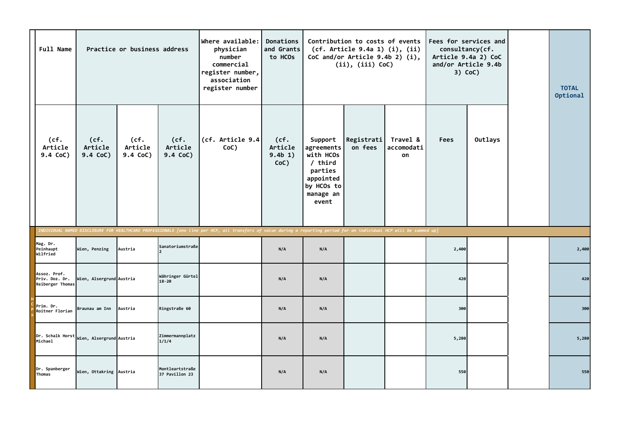| <b>Full Name</b>                                   |                                           | Practice or business address |                                   | Where available:<br>physician<br>number<br>commercial<br>register number,<br>association<br>register number                                                           | Donations<br>and Grants<br>to HCOs |                                                                                                             | Contribution to costs of events<br>(cf. Article 9.4a 1) (i), (ii)<br>CoC and/or Article $9.4b$ 2) (i),<br>$(ii)$ , $(iii)$ CoC) |                              | Fees for services and<br>consultancy(cf.<br>$3)$ CoC) | Article 9.4a 2) CoC<br>and/or Article 9.4b | <b>TOTAL</b><br>Optional |
|----------------------------------------------------|-------------------------------------------|------------------------------|-----------------------------------|-----------------------------------------------------------------------------------------------------------------------------------------------------------------------|------------------------------------|-------------------------------------------------------------------------------------------------------------|---------------------------------------------------------------------------------------------------------------------------------|------------------------------|-------------------------------------------------------|--------------------------------------------|--------------------------|
| (cf.<br>Article<br>9.4 CoC)                        | (cf.<br>Article<br>9.4 CoC)               | (cf.<br>Article<br>9.4 CoC)  | (cf.<br>Article<br>9.4 CoC)       | (cf. Article 9.4<br>CoC)                                                                                                                                              | (cf.<br>Article<br>9.4b 1)<br>CoC) | Support<br>agreements<br>with HCOs<br>$/$ third<br>parties<br>appointed<br>by HCOs to<br>manage an<br>event | Registrati<br>on fees                                                                                                           | Travel &<br>accomodati<br>on | <b>Fees</b>                                           | Outlays                                    |                          |
|                                                    |                                           |                              |                                   | INDIVIDUAL NAMED DISCLOSURE FOR HEALTHCARE PROFESSIONALS [one line per HCP, all transfers of value during a reporting period for an individual HCP will be summed up] |                                    |                                                                                                             |                                                                                                                                 |                              |                                                       |                                            |                          |
| Mag. Dr.<br>Peinhaupt<br>Wilfried                  | Wien, Penzing                             | Austria                      | Sanatoriumstraße                  |                                                                                                                                                                       | N/A                                | N/A                                                                                                         |                                                                                                                                 |                              | 2,400                                                 |                                            | 2,400                    |
| Assoz. Prof.<br>Priv. Doz. Dr.<br>Reiberger Thomas | Wien, Alsergrund Austria                  |                              | Währinger Gürtel<br>$18 - 20$     |                                                                                                                                                                       | N/A                                | N/A                                                                                                         |                                                                                                                                 |                              | 420                                                   |                                            | 420                      |
| Prim. Dr.<br>Roitner Florian                       | Braunau am Inn                            | Austria                      | Ringstraße 60                     |                                                                                                                                                                       | N/A                                | N/A                                                                                                         |                                                                                                                                 |                              | 300                                                   |                                            | 300                      |
| Michael                                            | Dr. Schalk Horst Wien, Alsergrund Austria |                              | Zimmermannplatz<br>1/1/4          |                                                                                                                                                                       | N/A                                | N/A                                                                                                         |                                                                                                                                 |                              | 5,280                                                 |                                            | 5,280                    |
| Dr. Spanberger<br>Thomas                           | Wien, Ottakring Austria                   |                              | Montleartstraße<br>37 Pavillon 23 |                                                                                                                                                                       | N/A                                | N/A                                                                                                         |                                                                                                                                 |                              | 550                                                   |                                            | 550                      |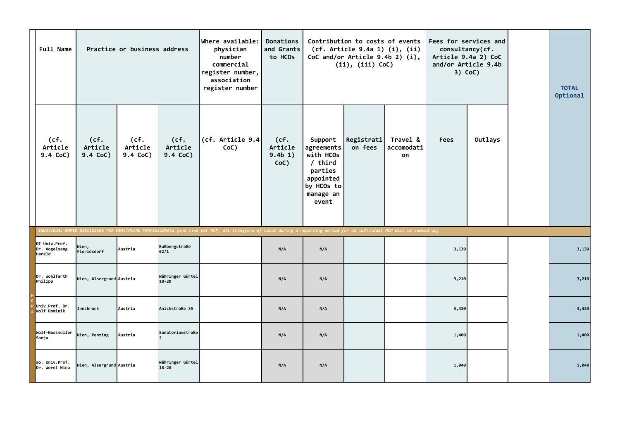| <b>Full Name</b>                         |                             | Practice or business address |                               | Where available:<br>physician<br>number<br>commercial<br>register number,<br>association<br>register number                                                           | Donations<br>and Grants<br>to HCOs    |                                                                                                           | Contribution to costs of events<br>(cf. Article 9.4a 1) (i), (ii)<br>CoC and/or Article $9.4b$ 2) (i),<br>$(ii)$ , $(iii)$ CoC) |                              | consultancy(cf.<br>3) CoC) | Fees for services and<br>Article 9.4a 2) CoC<br>and/or Article 9.4b | <b>TOTAL</b><br>Optional |
|------------------------------------------|-----------------------------|------------------------------|-------------------------------|-----------------------------------------------------------------------------------------------------------------------------------------------------------------------|---------------------------------------|-----------------------------------------------------------------------------------------------------------|---------------------------------------------------------------------------------------------------------------------------------|------------------------------|----------------------------|---------------------------------------------------------------------|--------------------------|
| (cf.<br>Article<br>9.4 CoC)              | (cf.<br>Article<br>9.4 CoC) | (cf.<br>Article<br>9.4 CoC)  | (cf.<br>Article<br>9.4 CoC)   | (cf. Article 9.4)<br>CoC)                                                                                                                                             | (cf.<br>Article<br>9.4b 1)<br>$CoC$ ) | Support<br>agreements<br>with HCOs<br>/ third<br>parties<br>appointed<br>by HCOs to<br>manage an<br>event | Registrati<br>on fees                                                                                                           | Travel &<br>accomodati<br>on | <b>Fees</b>                | Outlays                                                             |                          |
| DI Univ.Prof.<br>Dr. Vogelsang<br>Harald | Wien,<br>Floridsdorf        | Austria                      | Rußbergstraße<br>62/1         | INDIVIDUAL NAMED DISCLOSURE FOR HEALTHCARE PROFESSIONALS [one line per HCP, all transfers of value during a reporting period for an individual HCP will be summed up] | N/A                                   | N/A                                                                                                       |                                                                                                                                 |                              | 3,130                      |                                                                     | 3,130                    |
| Dr. Wohlfarth<br>Philipp                 | Wien, Alsergrund Austria    |                              | Währinger Gürtel<br>$18 - 20$ |                                                                                                                                                                       | N/A                                   | N/A                                                                                                       |                                                                                                                                 |                              | 3,210                      |                                                                     | 3,210                    |
| Univ.Prof. Dr.<br>Wolf Dominik           | Innsbruck                   | Austria                      | Anichstraße 35                |                                                                                                                                                                       | N/A                                   | N/A                                                                                                       |                                                                                                                                 |                              | 3,420                      |                                                                     | 3,420                    |
| Wolf-Nussmüller<br>Sonja                 | Wien, Penzing               | Austria                      | Sanatoriumstraße              |                                                                                                                                                                       | N/A                                   | N/A                                                                                                       |                                                                                                                                 |                              | 1,400                      |                                                                     | 1,400                    |
| ao. Univ.Prof.<br>Dr. Worel Nina         | Wien, Alsergrund Austria    |                              | Währinger Gürtel<br>$18 - 20$ |                                                                                                                                                                       | N/A                                   | N/A                                                                                                       |                                                                                                                                 |                              | 1,040                      |                                                                     | 1,040                    |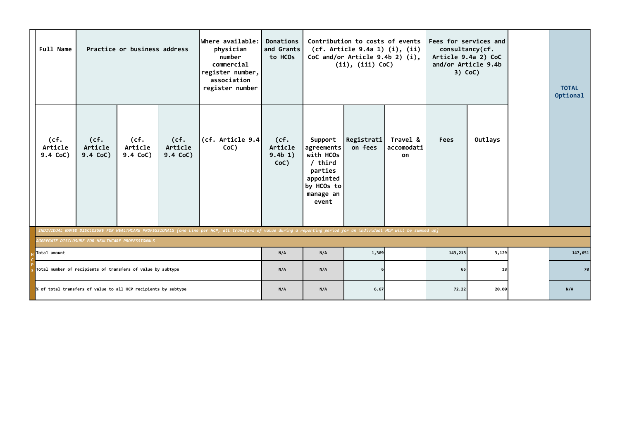| <b>Full Name</b>                                  |                                                                                                                                                                       | Practice or business address  |                             | Where available:<br>physician<br>number<br>commercial<br>register number,<br>association<br>register number | Donations<br>and Grants<br>to HCOs |                                                                                                           | Contribution to costs of events<br>(cf. Article 9.4a 1) (i), (ii)<br>CoC and/or Article $9.4b$ 2) (i),<br>(ii), (iii) CoC) |                              | consultancy(cf.<br>Article 9.4a 2) CoC | Fees for services and<br>and/or Article 9.4b<br>$3)$ CoC) | <b>TOTAL</b><br>Optional |
|---------------------------------------------------|-----------------------------------------------------------------------------------------------------------------------------------------------------------------------|-------------------------------|-----------------------------|-------------------------------------------------------------------------------------------------------------|------------------------------------|-----------------------------------------------------------------------------------------------------------|----------------------------------------------------------------------------------------------------------------------------|------------------------------|----------------------------------------|-----------------------------------------------------------|--------------------------|
| (cf.<br>Article<br>9.4 CoC)                       | (cf.<br>Article<br>9.4 CoC)                                                                                                                                           | (cf.<br>Article<br>$9.4$ CoC) | (cf.<br>Article<br>9.4 CoC) | (cf. Article $9.4$<br>CoC)                                                                                  | (cf.<br>Article<br>9.4b 1)<br>CoC) | Support<br>agreements<br>with HCOs<br>/ third<br>parties<br>appointed<br>by HCOs to<br>manage an<br>event | Registrati<br>on fees                                                                                                      | Travel &<br>accomodati<br>on | <b>Fees</b>                            | Outlays                                                   |                          |
|                                                   | INDIVIDUAL NAMED DISCLOSURE FOR HEALTHCARE PROFESSIONALS [one line per HCP, all transfers of value during a reporting period for an individual HCP will be summed up] |                               |                             |                                                                                                             |                                    |                                                                                                           |                                                                                                                            |                              |                                        |                                                           |                          |
| AGGREGATE DISCLOSURE FOR HEALTHCARE PROFESSIONALS |                                                                                                                                                                       |                               |                             |                                                                                                             |                                    |                                                                                                           |                                                                                                                            |                              |                                        |                                                           |                          |
| Total amount                                      |                                                                                                                                                                       |                               |                             |                                                                                                             | N/A                                | N/A                                                                                                       | 1,309                                                                                                                      |                              | 143,213                                | 3,129                                                     | 147,651                  |
|                                                   |                                                                                                                                                                       |                               |                             |                                                                                                             | N/A                                | N/A                                                                                                       |                                                                                                                            |                              | 65                                     | 18                                                        | 70                       |
|                                                   | Total number of recipients of transfers of value by subtype<br>% of total transfers of value to all HCP recipients by subtype                                         |                               |                             |                                                                                                             |                                    | N/A                                                                                                       | 6.67                                                                                                                       |                              | 72.22                                  | 20.00                                                     | N/A                      |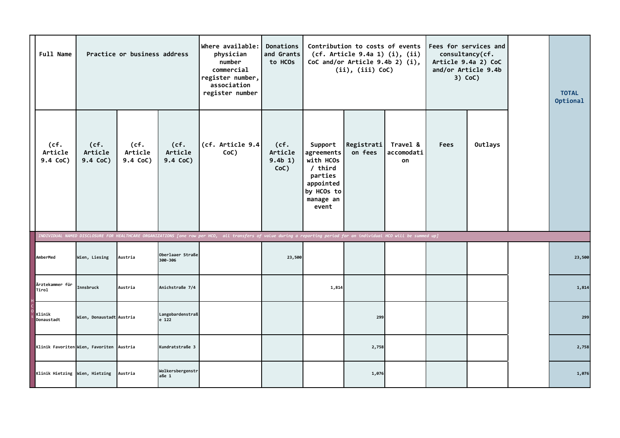| <b>Full Name</b>               |                                          | Practice or business address |                             | Where available:<br>physician<br>number<br>commercial<br>register number,<br>association<br>register number                                                          | Donations<br>and Grants<br>to HCOs |                                                                                                           | Contribution to costs of events<br>(cf. Article 9.4a 1) (i), (ii)<br>CoC and/or Article $9.4b$ 2) (i),<br>$(ii)$ , $(iii)$ CoC) |                              | consultancy(cf. | Fees for services and<br>Article 9.4a 2) CoC<br>and/or Article 9.4b<br>$3)$ CoC) | <b>TOTAL</b><br>Optional |
|--------------------------------|------------------------------------------|------------------------------|-----------------------------|----------------------------------------------------------------------------------------------------------------------------------------------------------------------|------------------------------------|-----------------------------------------------------------------------------------------------------------|---------------------------------------------------------------------------------------------------------------------------------|------------------------------|-----------------|----------------------------------------------------------------------------------|--------------------------|
| (cf.<br>Article<br>$9.4$ CoC)  | (cf.<br>Article<br>9.4 CoC)              | (cf.<br>Article<br>9.4 CoC)  | (cf.<br>Article<br>9.4 CoC) | (cf. Article 9.4<br>CoC)                                                                                                                                             | (cf.<br>Article<br>9.4b 1)<br>CoC) | Support<br>agreements<br>with HCOs<br>/ third<br>parties<br>appointed<br>by HCOs to<br>manage an<br>event | Registrati<br>on fees                                                                                                           | Travel &<br>accomodati<br>on | <b>Fees</b>     | Outlays                                                                          |                          |
| AmberMed                       | Wien, Liesing                            | Austria                      | Oberlaaer Straße<br>300-306 | INDIVIDUAL NAMED DISCLOSURE FOR HEALTHCARE ORGANIZATIONS [one row per HCO, all transfers of value during a reporting period for an individual HCO will be summed up] | 23,500                             |                                                                                                           |                                                                                                                                 |                              |                 |                                                                                  | 23,500                   |
| Ärztekammer für                |                                          |                              |                             |                                                                                                                                                                      |                                    |                                                                                                           |                                                                                                                                 |                              |                 |                                                                                  |                          |
| Tirol                          | Innsbruck                                | Austria                      | Anichstraße 7/4             |                                                                                                                                                                      |                                    | 1,814                                                                                                     |                                                                                                                                 |                              |                 |                                                                                  | 1,814                    |
| Klinik<br>Donaustadt           | Wien, Donaustadt Austria                 |                              | Langobardenstraß<br>e 122   |                                                                                                                                                                      |                                    |                                                                                                           | 299                                                                                                                             |                              |                 |                                                                                  | 299                      |
|                                | Klinik Favoriten Wien, Favoriten Austria |                              | Kundratstraße 3             |                                                                                                                                                                      |                                    |                                                                                                           | 2,758                                                                                                                           |                              |                 |                                                                                  | 2,758                    |
| Klinik Hietzing Wien, Hietzing |                                          | Austria                      | Wolkersbergenstr<br>aße 1   |                                                                                                                                                                      |                                    |                                                                                                           | 1,076                                                                                                                           |                              |                 |                                                                                  | 1,076                    |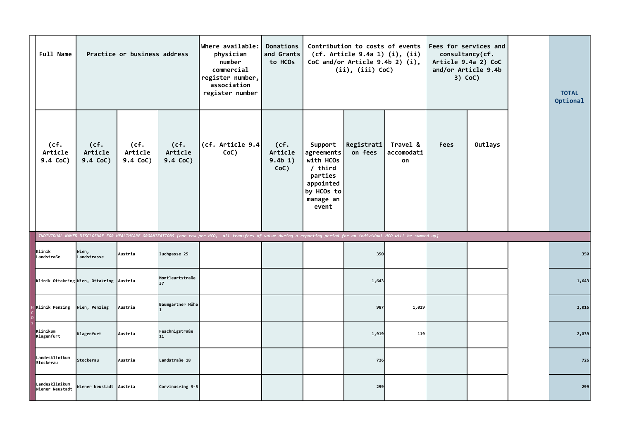| <b>Full Name</b>                  |                                          | Practice or business address |                             | Where available:<br>physician<br>number<br>commercial<br>register number,<br>association<br>register number                                                          | Donations<br>and Grants<br>to HCOs |                                                                                                           | Contribution to costs of events<br>(cf. Article 9.4a 1) (i), (ii)<br>CoC and/or Article 9.4b 2) (i),<br>(ii), (iii) CoC) |                              | consultancy(cf.<br>and/or Article 9.4b | Fees for services and<br>Article 9.4a 2) CoC<br>$3)$ CoC) | <b>TOTAL</b><br>Optional |
|-----------------------------------|------------------------------------------|------------------------------|-----------------------------|----------------------------------------------------------------------------------------------------------------------------------------------------------------------|------------------------------------|-----------------------------------------------------------------------------------------------------------|--------------------------------------------------------------------------------------------------------------------------|------------------------------|----------------------------------------|-----------------------------------------------------------|--------------------------|
| (cf.<br>Article<br>9.4 CoC)       | (cf.<br>Article<br>9.4 CoC)              | (cf.<br>Article<br>9.4 CoC)  | (cf.<br>Article<br>9.4 CoC) | (cf. Article 9.4)<br>CoC)                                                                                                                                            | (cf.<br>Article<br>9.4b 1)<br>CoC) | Support<br>agreements<br>with HCOs<br>/ third<br>parties<br>appointed<br>by HCOs to<br>manage an<br>event | Registrati<br>on fees                                                                                                    | Travel &<br>accomodati<br>on | <b>Fees</b>                            | Outlays                                                   |                          |
|                                   |                                          |                              |                             | INDIVIDUAL NAMED DISCLOSURE FOR HEALTHCARE ORGANIZATIONS [one row per HCO, all transfers of value during a reporting period for an individual HCO will be summed up] |                                    |                                                                                                           |                                                                                                                          |                              |                                        |                                                           |                          |
| Klinik<br>Landstraße              | Wien,<br>Landstrasse                     | Austria                      | Juchgasse 25                |                                                                                                                                                                      |                                    |                                                                                                           | 350                                                                                                                      |                              |                                        |                                                           | 350                      |
|                                   | Klinik Ottakring Wien, Ottakring Austria |                              | Montleartstraße<br>137      |                                                                                                                                                                      |                                    |                                                                                                           | 1,643                                                                                                                    |                              |                                        |                                                           | 1,643                    |
| <b>Klinik Penzing</b>             | Wien, Penzing                            | Austria                      | Baumgartner Höhe            |                                                                                                                                                                      |                                    |                                                                                                           | 987                                                                                                                      | 1,029                        |                                        |                                                           | 2,016                    |
| Klinikum<br>Klagenfurt            | Klagenfurt                               | Austria                      | Feschnigstraße<br>11        |                                                                                                                                                                      |                                    |                                                                                                           | 1,919                                                                                                                    | 119                          |                                        |                                                           | 2,039                    |
| Landesklinikum<br>Stockerau       | Stockerau                                | Austria                      | Landstraße 18               |                                                                                                                                                                      |                                    |                                                                                                           | 726                                                                                                                      |                              |                                        |                                                           | 726                      |
| Landesklinikum<br>Wiener Neustadt | Wiener Neustadt Austria                  |                              | Corvinusring 3-5            |                                                                                                                                                                      |                                    |                                                                                                           | 299                                                                                                                      |                              |                                        |                                                           | 299                      |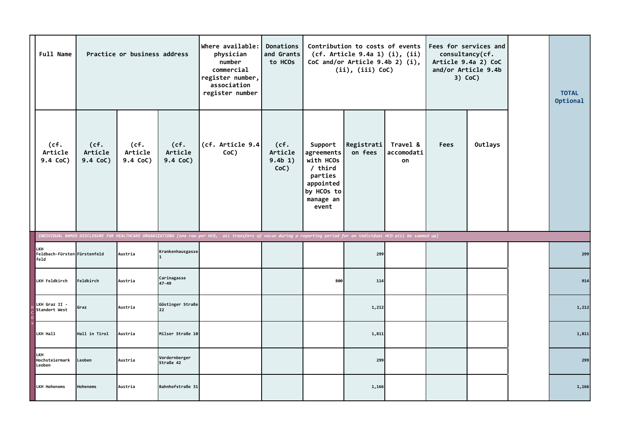| Full Name                                   |                             | Practice or business address |                               | Where available:<br>physician<br>number<br>commercial<br>register number,<br>association<br>register number                                                          | Donations<br>and Grants<br>to HCOs |                                                                                                           | Contribution to costs of events<br>(cf. Article 9.4a 1) (i), (ii)<br>CoC and/or Article 9.4b 2) (i),<br>(ii), (iii) CoC) |                              | consultancy(cf. | Fees for services and<br>Article 9.4a 2) CoC<br>and/or Article 9.4b<br>$3)$ CoC) | <b>TOTAL</b><br>Optional |
|---------------------------------------------|-----------------------------|------------------------------|-------------------------------|----------------------------------------------------------------------------------------------------------------------------------------------------------------------|------------------------------------|-----------------------------------------------------------------------------------------------------------|--------------------------------------------------------------------------------------------------------------------------|------------------------------|-----------------|----------------------------------------------------------------------------------|--------------------------|
| (cf.<br>Article<br>9.4 CoC)                 | (cf.<br>Article<br>9.4 CoC) | (cf.<br>Article<br>9.4 CoC)  | (cf.<br>Article<br>$9.4$ CoC) | (cf. Article $9.4$<br>CoC)                                                                                                                                           | (cf.<br>Article<br>9.4b 1)<br>CoC) | Support<br>agreements<br>with HCOs<br>/ third<br>parties<br>appointed<br>by HCOs to<br>manage an<br>event | Registrati<br>on fees                                                                                                    | Travel &<br>accomodati<br>on | <b>Fees</b>     | Outlays                                                                          |                          |
|                                             |                             |                              |                               | INDIVIDUAL NAMED DISCLOSURE FOR HEALTHCARE ORGANIZATIONS [one row per HCO, all transfers of value during a reporting period for an individual HCO will be summed up] |                                    |                                                                                                           |                                                                                                                          |                              |                 |                                                                                  |                          |
| LKH<br>Feldbach-Fürsten Fürstenfeld<br>feld |                             | Austria                      | Krankenhausgasse              |                                                                                                                                                                      |                                    |                                                                                                           | 299                                                                                                                      |                              |                 |                                                                                  | 299                      |
| LKH Feldkirch                               | Feldkirch                   | Austria                      | Carinagasse<br>47-49          |                                                                                                                                                                      |                                    | 800                                                                                                       | 114                                                                                                                      |                              |                 |                                                                                  | 914                      |
| LKH Graz II -<br>Standort West              | Graz                        | Austria                      | Göstinger Straße<br>l 22      |                                                                                                                                                                      |                                    |                                                                                                           | 1,212                                                                                                                    |                              |                 |                                                                                  | 1,212                    |
| LKH Hall                                    | Hall in Tirol               | Austria                      | Milser Straße 10              |                                                                                                                                                                      |                                    |                                                                                                           | 1,811                                                                                                                    |                              |                 |                                                                                  | 1,811                    |
| LKH<br>Hochsteiermark<br>Leoben             | Leoben                      | Austria                      | Vordernberger<br>Straße 42    |                                                                                                                                                                      |                                    |                                                                                                           | 299                                                                                                                      |                              |                 |                                                                                  | 299                      |
| <b>LKH Hohenems</b>                         | Hohenems                    | Austria                      | Bahnhofstraße 31              |                                                                                                                                                                      |                                    |                                                                                                           | 1,166                                                                                                                    |                              |                 |                                                                                  | 1,166                    |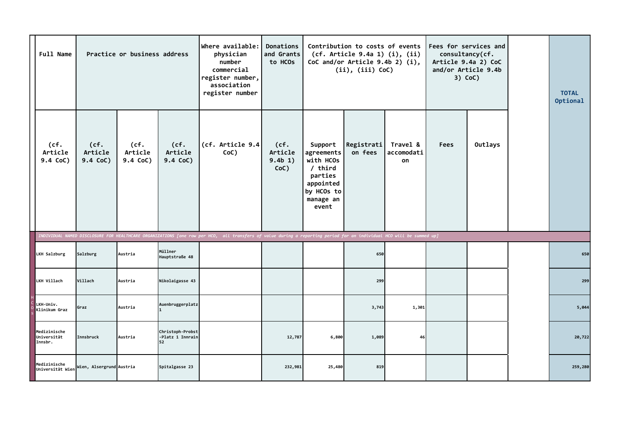| <b>Full Name</b>                       |                             | Practice or business address |                                            | Where available:<br>physician<br>number<br>commercial<br>register number,<br>association<br>register number                                                          | Donations<br>and Grants<br>to HCOs |                                                                                                             | Contribution to costs of events<br>(cf. Article 9.4a 1) (i), (ii)<br>CoC and/or Article $9.4b$ 2) (i),<br>(ii), (iii) CoC) |                              | consultancy(cf.<br>and/or Article 9.4b<br>$3)$ CoC) | Fees for services and<br>Article 9.4a 2) CoC | <b>TOTAL</b><br>Optional |
|----------------------------------------|-----------------------------|------------------------------|--------------------------------------------|----------------------------------------------------------------------------------------------------------------------------------------------------------------------|------------------------------------|-------------------------------------------------------------------------------------------------------------|----------------------------------------------------------------------------------------------------------------------------|------------------------------|-----------------------------------------------------|----------------------------------------------|--------------------------|
| (cf.<br>Article<br>9.4 CoC)            | (cf.<br>Article<br>9.4 CoC) | (cf.<br>Article<br>9.4 CoC)  | (cf.<br>Article<br>9.4 CoC)                | (cf. Article 9.4)<br>CoC)                                                                                                                                            | (cf.<br>Article<br>9.4b 1)<br>CoC) | Support<br>agreements<br>with HCOs<br>$/$ third<br>parties<br>appointed<br>by HCOs to<br>manage an<br>event | Registrati<br>on fees                                                                                                      | Travel &<br>accomodati<br>on | <b>Fees</b>                                         | Outlays                                      |                          |
|                                        |                             |                              |                                            | INDIVIDUAL NAMED DISCLOSURE FOR HEALTHCARE ORGANIZATIONS [one row per HCO, all transfers of value during a reporting period for an individual HCO will be summed up] |                                    |                                                                                                             |                                                                                                                            |                              |                                                     |                                              |                          |
| LKH Salzburg                           | Salzburg                    | Austria                      | Müllner<br>Hauptstraße 48                  |                                                                                                                                                                      |                                    |                                                                                                             | 650                                                                                                                        |                              |                                                     |                                              | 650                      |
| LKH Villach                            | Villach                     | Austria                      | Nikolaigasse 43                            |                                                                                                                                                                      |                                    |                                                                                                             | 299                                                                                                                        |                              |                                                     |                                              | 299                      |
| LKH-Univ.<br>Klinikum Graz             | Graz                        | Austria                      | Auenbruggerplatz                           |                                                                                                                                                                      |                                    |                                                                                                             | 3,743                                                                                                                      | 1,301                        |                                                     |                                              | 5,044                    |
| Medizinische<br>Universität<br>Innsbr. | Innsbruck                   | Austria                      | Christoph-Probst<br>-Platz 1 Innrain<br>52 |                                                                                                                                                                      | 12,787                             | 6,800                                                                                                       | 1,089                                                                                                                      | 46                           |                                                     |                                              | 20,722                   |
| Medizinische<br>Universität Wien       | Wien, Alsergrund Austria    |                              | Spitalgasse 23                             |                                                                                                                                                                      | 232,981                            | 25,480                                                                                                      | 819                                                                                                                        |                              |                                                     |                                              | 259,280                  |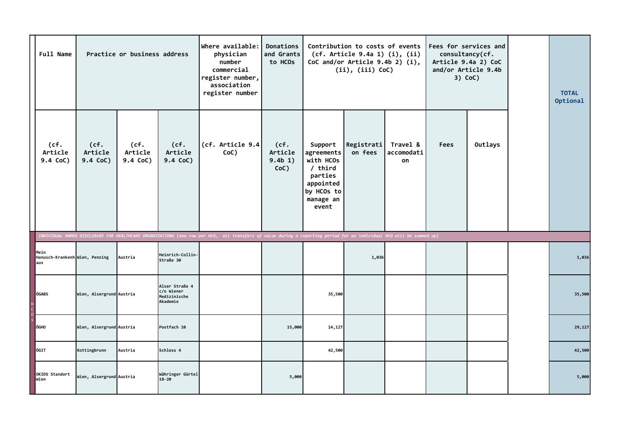| <b>Full Name</b>                              |                             | Practice or business address |                                                          | Where available:<br>physician<br>number<br>commercial<br>register number,<br>association<br>register number                                                          | Donations<br>and Grants<br>to HCOs |                                                                                                             | Contribution to costs of events<br>(cf. Article 9.4a 1) (i), (ii)<br>CoC and/or Article $9.4b$ 2) (i),<br>(ii), (iii) CoC) |                              | consultancy(cf.<br>and/or Article 9.4b | Fees for services and<br>Article 9.4a 2) CoC<br>$3)$ CoC) | <b>TOTAL</b><br>Optional |
|-----------------------------------------------|-----------------------------|------------------------------|----------------------------------------------------------|----------------------------------------------------------------------------------------------------------------------------------------------------------------------|------------------------------------|-------------------------------------------------------------------------------------------------------------|----------------------------------------------------------------------------------------------------------------------------|------------------------------|----------------------------------------|-----------------------------------------------------------|--------------------------|
| (cf.<br>Article<br>9.4 CoC)                   | (cf.<br>Article<br>9.4 CoC) | (cf.<br>Article<br>9.4 CoC)  | (cf.<br>Article<br>9.4 CoC)                              | (cf. Article 9.4)<br>CoC)                                                                                                                                            | (cf.<br>Article<br>9.4b 1)<br>CoC) | Support<br>agreements<br>with HCOs<br>$/$ third<br>parties<br>appointed<br>by HCOs to<br>manage an<br>event | Registrati<br>on fees                                                                                                      | Travel &<br>accomodati<br>on | <b>Fees</b>                            | Outlays                                                   |                          |
|                                               |                             |                              |                                                          | INDIVIDUAL NAMED DISCLOSURE FOR HEALTHCARE ORGANIZATIONS [one row per HCO, all transfers of value during a reporting period for an individual HCO will be summed up] |                                    |                                                                                                             |                                                                                                                            |                              |                                        |                                                           |                          |
| Mein<br>Hanusch-Krankenh Wien, Penzing<br>aus |                             | Austria                      | Heinrich-Collin-<br>Straße 30                            |                                                                                                                                                                      |                                    |                                                                                                             | 1,036                                                                                                                      |                              |                                        |                                                           | 1,036                    |
| ÖGABS<br>H<br>C<br>O<br>S                     | Wien, Alsergrund Austria    |                              | Alser Straße 4<br>c/o Wiener<br>Medizinische<br>Akademie |                                                                                                                                                                      |                                    | 35,500                                                                                                      |                                                                                                                            |                              |                                        |                                                           | 35,500                   |
| <b>ÖGHO</b>                                   | Wien, Alsergrund Austria    |                              | Postfach 10                                              |                                                                                                                                                                      | 15,000                             | 14,127                                                                                                      |                                                                                                                            |                              |                                        |                                                           | 29,127                   |
| ÖGIT                                          | Kottingbrunn                | Austria                      | Schloss 4                                                |                                                                                                                                                                      |                                    | 42,500                                                                                                      |                                                                                                                            |                              |                                        |                                                           | 42,500                   |
| OKIDS Standort<br>Wien                        | Wien, Alsergrund Austria    |                              | Währinger Gürtel<br>$18 - 20$                            |                                                                                                                                                                      | 5,000                              |                                                                                                             |                                                                                                                            |                              |                                        |                                                           | 5,000                    |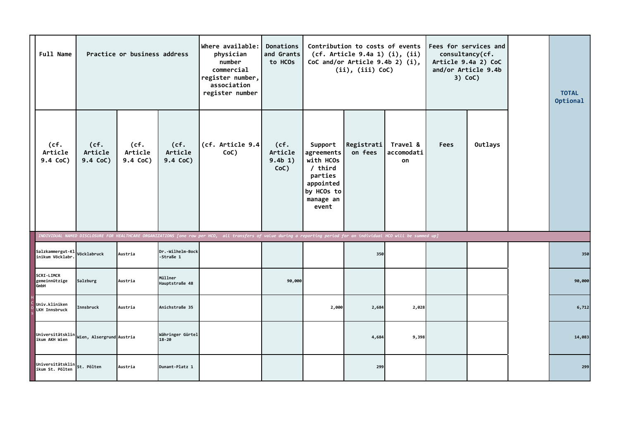| <b>Full Name</b>                      |                             | Practice or business address |                               | Where available:<br>physician<br>number<br>commercial<br>register number,<br>association<br>register number                                                          | Donations<br>and Grants<br>to HCOs |                                                                                                             | Contribution to costs of events<br>(cf. Article 9.4a 1) (i), (ii)<br>CoC and/or Article 9.4b 2) (i),<br>(ii), (iii) CoC) |                              | consultancy(cf.<br>and/or Article 9.4b | Fees for services and<br>Article 9.4a 2) CoC<br>$3)$ CoC) | <b>TOTAL</b><br>Optional |
|---------------------------------------|-----------------------------|------------------------------|-------------------------------|----------------------------------------------------------------------------------------------------------------------------------------------------------------------|------------------------------------|-------------------------------------------------------------------------------------------------------------|--------------------------------------------------------------------------------------------------------------------------|------------------------------|----------------------------------------|-----------------------------------------------------------|--------------------------|
| (cf.<br>Article<br>9.4 CoC)           | (cf.<br>Article<br>9.4 CoC) | (cf.<br>Article<br>9.4 CoC)  | (cf.<br>Article<br>9.4 CoC)   | (cf. Article 9.4)<br>CoC)                                                                                                                                            | (cf.<br>Article<br>9.4b 1)<br>CoC) | Support<br>agreements<br>with HCOs<br>$/$ third<br>parties<br>appointed<br>by HCOs to<br>manage an<br>event | Registrati<br>on fees                                                                                                    | Travel &<br>accomodati<br>on | <b>Fees</b>                            | Outlays                                                   |                          |
|                                       |                             |                              |                               | INDIVIDUAL NAMED DISCLOSURE FOR HEALTHCARE ORGANIZATIONS [one row per HCO, all transfers of value during a reporting period for an individual HCO will be summed up] |                                    |                                                                                                             |                                                                                                                          |                              |                                        |                                                           |                          |
| Salzkammergut-Kl<br>inikum Vöcklabr.  | Vöcklabruck                 | Austria                      | Dr.-Wilhelm-Bock<br>-Straße 1 |                                                                                                                                                                      |                                    |                                                                                                             | 350                                                                                                                      |                              |                                        |                                                           | 350                      |
| SCRI-LIMCR<br>gemeinnützige<br>GmbH   | Salzburg                    | Austria                      | Müllner<br>Hauptstraße 48     |                                                                                                                                                                      | 90,000                             |                                                                                                             |                                                                                                                          |                              |                                        |                                                           | 90,000                   |
| Univ.kliniken<br><b>LKH Innsbruck</b> | Innsbruck                   | Austria                      | Anichstraße 35                |                                                                                                                                                                      |                                    | 2,000                                                                                                       | 2,684                                                                                                                    | 2,028                        |                                        |                                                           | 6,712                    |
| Universitätsklin<br>ikum AKH Wien     | Wien, Alsergrund Austria    |                              | Währinger Gürtel<br>$18 - 20$ |                                                                                                                                                                      |                                    |                                                                                                             | 4,684                                                                                                                    | 9,398                        |                                        |                                                           | 14,083                   |
| Universitätsklin<br>ikum St. Pölten   | St. Pölten                  | Austria                      | Dunant-Platz 1                |                                                                                                                                                                      |                                    |                                                                                                             | 299                                                                                                                      |                              |                                        |                                                           | 299                      |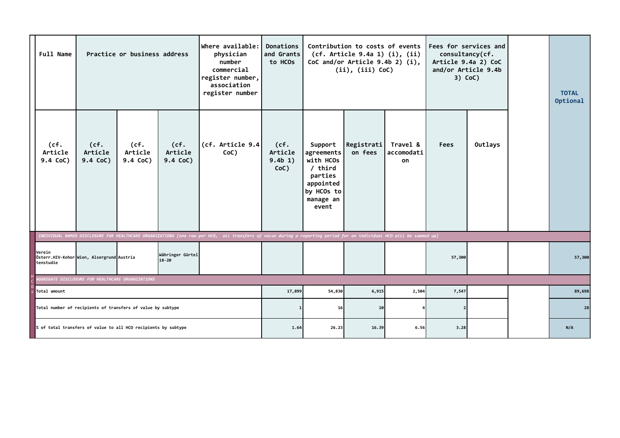|                     | <b>Full Name</b>            |                                                                                                                                                                                                                                                    | Practice or business address |                             | $ $ Where available: $ $<br>physician<br>number<br>commercial<br>register number,<br>association<br>register number | Donations<br>and Grants<br>to HCOs |                                                                                                             | Contribution to costs of events<br>(cf. Article 9.4a 1) (i), (ii)<br>CoC and/or Article $9.4b$ 2) (i),<br>(ii), (iii) CoC) |                              | Fees for services and<br>consultancy(cf.<br>Article 9.4a 2) CoC<br>and/or Article 9.4b<br>$3)$ CoC) |         | <b>TOTAL</b><br>Optional |
|---------------------|-----------------------------|----------------------------------------------------------------------------------------------------------------------------------------------------------------------------------------------------------------------------------------------------|------------------------------|-----------------------------|---------------------------------------------------------------------------------------------------------------------|------------------------------------|-------------------------------------------------------------------------------------------------------------|----------------------------------------------------------------------------------------------------------------------------|------------------------------|-----------------------------------------------------------------------------------------------------|---------|--------------------------|
|                     | (cf.<br>Article<br>9.4 CoC) | (cf.<br>Article<br>9.4 CoC)                                                                                                                                                                                                                        | (cf.<br>Article<br>9.4 CoC)  | (cf.<br>Article<br>9.4 CoC) | (cf. Article 9.4)<br>CoC)                                                                                           | (cf.<br>Article<br>9.4b 1)<br>CoC) | Support<br>agreements<br>with HCOs<br>$/$ third<br>parties<br>appointed<br>by HCOs to<br>manage an<br>event | Registrati<br>on fees                                                                                                      | Travel &<br>accomodati<br>on | <b>Fees</b>                                                                                         | Outlays |                          |
|                     |                             |                                                                                                                                                                                                                                                    |                              |                             |                                                                                                                     |                                    |                                                                                                             |                                                                                                                            |                              |                                                                                                     |         |                          |
| Verein<br>tenstudie |                             | INDIVIDUAL NAMED DISCLOSURE FOR HEALTHCARE ORGANIZATIONS [one row per HCO, all transfers of value during a reporting period for an individual HCO will be summed up]<br>Währinger Gürtel<br>Österr.HIV-Kohor Wien, Alsergrund Austria<br>$18 - 20$ |                              |                             |                                                                                                                     |                                    |                                                                                                             |                                                                                                                            |                              | 57,300                                                                                              |         | 57,300                   |
|                     |                             | <b>AGGREGATE DISCLOSURE FOR HEALTHCARE ORGANIZATIONS</b>                                                                                                                                                                                           |                              |                             |                                                                                                                     |                                    |                                                                                                             |                                                                                                                            |                              |                                                                                                     |         |                          |
|                     | Total amount                |                                                                                                                                                                                                                                                    |                              |                             |                                                                                                                     | 17,899                             | 54,830                                                                                                      | 6,915                                                                                                                      | 2,504                        | 7,547                                                                                               |         | 89,698                   |
|                     |                             | Total number of recipients of transfers of value by subtype                                                                                                                                                                                        |                              |                             |                                                                                                                     |                                    | 16                                                                                                          | 10                                                                                                                         |                              |                                                                                                     |         | 28                       |
|                     |                             | % of total transfers of value to all HCO recipients by subtype                                                                                                                                                                                     |                              |                             |                                                                                                                     | 1.64                               | 26.23                                                                                                       | 16.39                                                                                                                      | 6.56                         | 3.28                                                                                                |         | N/A                      |